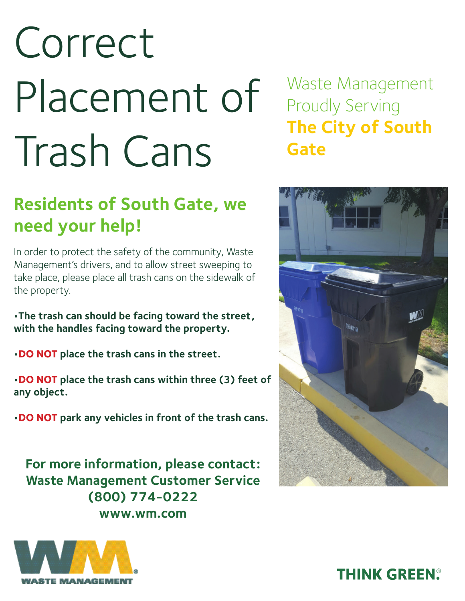# Correct Placement of Trash Cans

## **Residents of South Gate, we need your help!**

In order to protect the safety of the community, Waste Management's drivers, and to allow street sweeping to take place, please place all trash cans on the sidewalk of the property.

**•The trash can should be facing toward the street, with the handles facing toward the property.**

**•DO NOT place the trash cans in the street.**

**•DO NOT place the trash cans within three (3) feet of any object.** 

**•DO NOT park any vehicles in front of the trash cans.** 

**For more information, please contact: Waste Management Customer Service (800) 774-0222 www.wm.com**



Waste Management Proudly Serving **The City of South Gate**



### **THINK GREEN®**